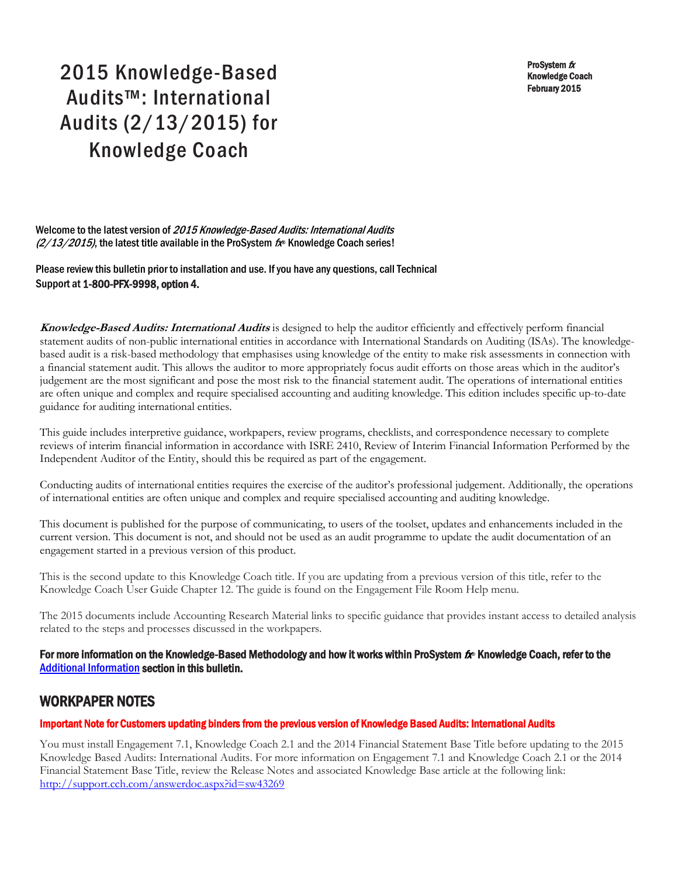ProSystem  $$ Knowledge Coach February 2015

# 2015 Knowledge-Based Audits™: International Audits (2/13/2015) for Knowledge Coach

Welcome to the latest version of 2015 Knowledge-Based Audits: International Audits  $(2/13/2015)$ , the latest title available in the ProSystem  $f_{\text{R}}$  Knowledge Coach series!

Please review this bulletin prior to installation and use. If you have any questions, call Technical Support at 1-800-PFX-9998, option 4.

**Knowledge-Based Audits: International Audits** is designed to help the auditor efficiently and effectively perform financial statement audits of non-public international entities in accordance with International Standards on Auditing (ISAs). The knowledgebased audit is a risk-based methodology that emphasises using knowledge of the entity to make risk assessments in connection with a financial statement audit. This allows the auditor to more appropriately focus audit efforts on those areas which in the auditor's judgement are the most significant and pose the most risk to the financial statement audit. The operations of international entities are often unique and complex and require specialised accounting and auditing knowledge. This edition includes specific up-to-date guidance for auditing international entities.

This guide includes interpretive guidance, workpapers, review programs, checklists, and correspondence necessary to complete reviews of interim financial information in accordance with ISRE 2410, Review of Interim Financial Information Performed by the Independent Auditor of the Entity, should this be required as part of the engagement.

Conducting audits of international entities requires the exercise of the auditor's professional judgement. Additionally, the operations of international entities are often unique and complex and require specialised accounting and auditing knowledge.

This document is published for the purpose of communicating, to users of the toolset, updates and enhancements included in the current version. This document is not, and should not be used as an audit programme to update the audit documentation of an engagement started in a previous version of this product.

This is the second update to this Knowledge Coach title. If you are updating from a previous version of this title, refer to the Knowledge Coach User Guide Chapter 12. The guide is found on the Engagement File Room Help menu.

The 2015 documents include Accounting Research Material links to specific guidance that provides instant access to detailed analysis related to the steps and processes discussed in the workpapers.

## For more information on the Knowledge-Based Methodology and how it works within ProSystem  $f_\text{R}$  Knowledge Coach, refer to the [Additional Information s](#page-2-0)ection in this bulletin.

## WORKPAPER NOTES

## Important Note for Customers updating binders from the previous version of Knowledge Based Audits: International Audits

You must install Engagement 7.1, Knowledge Coach 2.1 and the 2014 Financial Statement Base Title before updating to the 2015 Knowledge Based Audits: International Audits. For more information on Engagement 7.1 and Knowledge Coach 2.1 or the 2014 Financial Statement Base Title, review the Release Notes and associated Knowledge Base article at the following link: http://support.cch.com/answerdoc.aspx?id=sw43269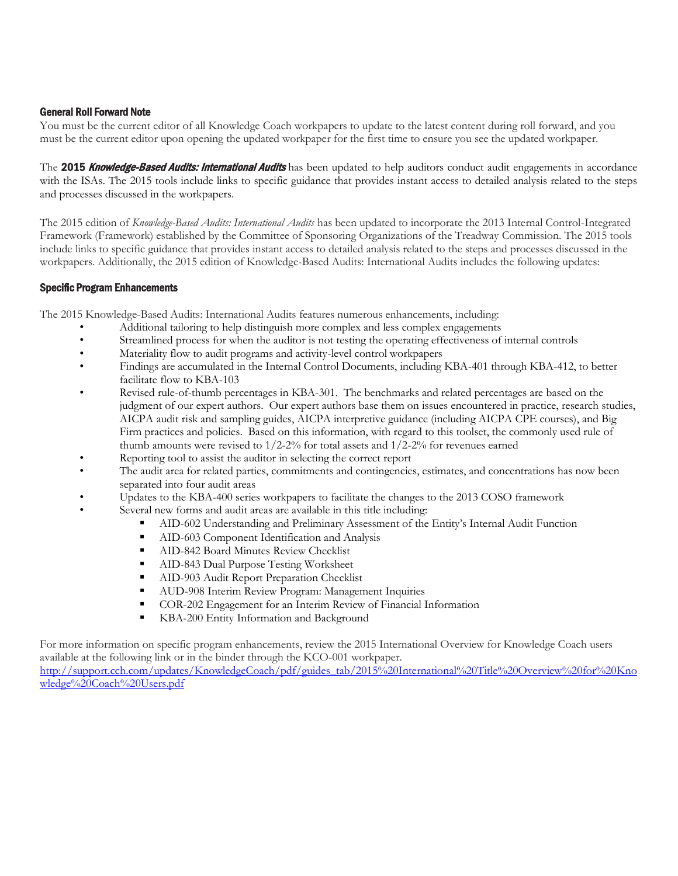#### General Roll Forward Note

You must be the current editor of all Knowledge Coach workpapers to update to the latest content during roll forward, and you must be the current editor upon opening the updated workpaper for the first time to ensure you see the updated workpaper.

The 2015 Knowledge-Based Audits: International Audits has been updated to help auditors conduct audit engagements in accordance with the ISAs. The 2015 tools include links to specific guidance that provides instant access to detailed analysis related to the steps and processes discussed in the workpapers.

The 2015 edition of *Knowledge-Based Audits: International Audits* has been updated to incorporate the 2013 Internal Control-Integrated Framework (Framework) established by the Committee of Sponsoring Organizations of the Treadway Commission. The 2015 tools include links to specific guidance that provides instant access to detailed analysis related to the steps and processes discussed in the workpapers. Additionally, the 2015 edition of Knowledge-Based Audits: International Audits includes the following updates:

#### Specific Program Enhancements

The 2015 Knowledge-Based Audits: International Audits features numerous enhancements, including:

- Additional tailoring to help distinguish more complex and less complex engagements
- Streamlined process for when the auditor is not testing the operating effectiveness of internal controls
- Materiality flow to audit programs and activity-level control workpapers
- Findings are accumulated in the Internal Control Documents, including KBA-401 through KBA-412, to better facilitate flow to KBA-103
- Revised rule-of-thumb percentages in KBA-301. The benchmarks and related percentages are based on the judgment of our expert authors. Our expert authors base them on issues encountered in practice, research studies, AICPA audit risk and sampling guides, AICPA interpretive guidance (including AICPA CPE courses), and Big Firm practices and policies. Based on this information, with regard to this toolset, the commonly used rule of thumb amounts were revised to  $1/2$ -2% for total assets and  $1/2$ -2% for revenues earned
- Reporting tool to assist the auditor in selecting the correct report
- The audit area for related parties, commitments and contingencies, estimates, and concentrations has now been separated into four audit areas
- Updates to the KBA-400 series workpapers to facilitate the changes to the 2013 COSO framework
	- Several new forms and audit areas are available in this title including:
		- AID-602 Understanding and Preliminary Assessment of the Entity's Internal Audit Function
		- AID-603 Component Identification and Analysis<br>• AID-842 Board Minutes Review Checklist
		- AID-842 Board Minutes Review Checklist<br>• AID-843 Dual Purpose Testing Worksheet
		- AID-843 Dual Purpose Testing Worksheet
		- **AID-903 Audit Report Preparation Checklist**
		- **AUD-908 Interim Review Program: Management Inquiries**
		- COR-202 Engagement for an Interim Review of Financial Information
		- KBA-200 Entity Information and Background

For more information on specific program enhancements, review the 2015 International Overview for Knowledge Coach users available at the following link or in the binder through the KCO-001 workpaper.

[http://support.cch.com/updates/KnowledgeCoach/pdf/guides\\_tab/2015%20International%20Title%20Overview%20for%20Kno](http://support.cch.com/updates/KnowledgeCoach/pdf/guides_tab/2015%20International%20Title%20Overview%20for%20Knowledge%20Coach%20Users.pdf) [wledge%20Coach%20Users.pdf](http://support.cch.com/updates/KnowledgeCoach/pdf/guides_tab/2015%20International%20Title%20Overview%20for%20Knowledge%20Coach%20Users.pdf)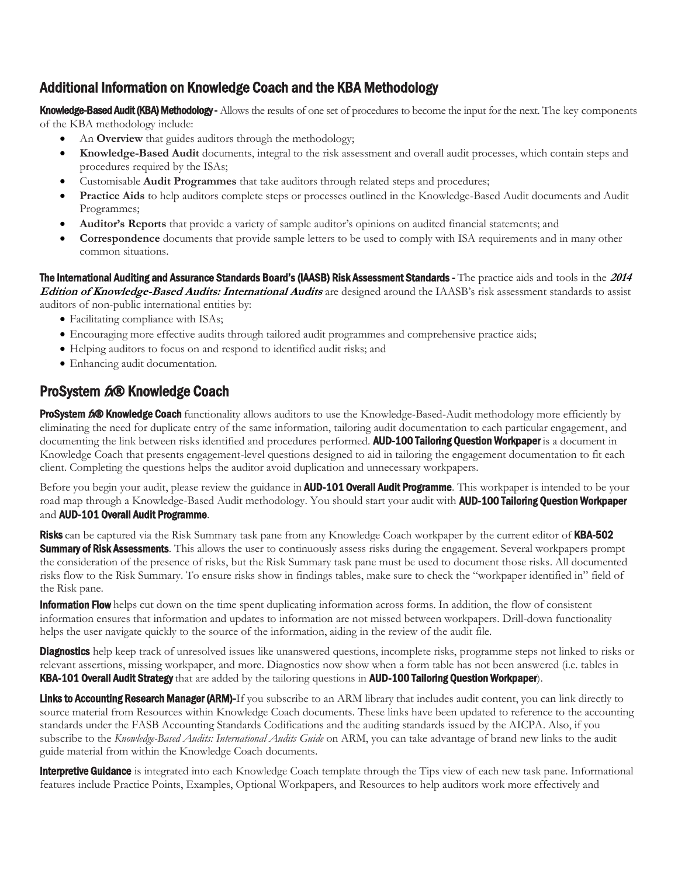# <span id="page-2-0"></span>Additional Information on Knowledge Coach and the KBA Methodology

Knowledge-Based Audit (KBA) Methodology - Allows the results of one set of procedures to become the input for the next. The key components of the KBA methodology include:

- An **Overview** that guides auditors through the methodology;
- **Knowledge-Based Audit** documents, integral to the risk assessment and overall audit processes, which contain steps and procedures required by the ISAs;
- Customisable **Audit Programmes** that take auditors through related steps and procedures;
- **Practice Aids** to help auditors complete steps or processes outlined in the Knowledge-Based Audit documents and Audit Programmes;
- **Auditor's Reports** that provide a variety of sample auditor's opinions on audited financial statements; and
- **Correspondence** documents that provide sample letters to be used to comply with ISA requirements and in many other common situations.

The International Auditing and Assurance Standards Board's (IAASB) Risk Assessment Standards - The practice aids and tools in the **<sup>2014</sup> Edition of Knowledge-Based Audits: International Audits** are designed around the IAASB's risk assessment standards to assist auditors of non-public international entities by:

- Facilitating compliance with ISAs;
- Encouraging more effective audits through tailored audit programmes and comprehensive practice aids;
- Helping auditors to focus on and respond to identified audit risks; and
- Enhancing audit documentation.

# ProSystem tx® Knowledge Coach

ProSystem 600 Knowledge Coach functionality allows auditors to use the Knowledge-Based-Audit methodology more efficiently by eliminating the need for duplicate entry of the same information, tailoring audit documentation to each particular engagement, and documenting the link between risks identified and procedures performed. **AUD-100 Tailoring Question Workpaper** is a document in Knowledge Coach that presents engagement-level questions designed to aid in tailoring the engagement documentation to fit each client. Completing the questions helps the auditor avoid duplication and unnecessary workpapers.

Before you begin your audit, please review the guidance in **AUD-101 Overall Audit Programme**. This workpaper is intended to be your road map through a Knowledge-Based Audit methodology. You should start your audit with **AUD-100 Tailoring Question Workpaper** and **AUD-101 Overall Audit Programme.** 

Risks can be captured via the Risk Summary task pane from any Knowledge Coach workpaper by the current editor of KBA-502 **Summary of Risk Assessments**. This allows the user to continuously assess risks during the engagement. Several workpapers prompt the consideration of the presence of risks, but the Risk Summary task pane must be used to document those risks. All documented risks flow to the Risk Summary. To ensure risks show in findings tables, make sure to check the "workpaper identified in" field of the Risk pane.

**Information Flow** helps cut down on the time spent duplicating information across forms. In addition, the flow of consistent information ensures that information and updates to information are not missed between workpapers. Drill-down functionality helps the user navigate quickly to the source of the information, aiding in the review of the audit file.

**Diagnostics** help keep track of unresolved issues like unanswered questions, incomplete risks, programme steps not linked to risks or relevant assertions, missing workpaper, and more. Diagnostics now show when a form table has not been answered (i.e. tables in KBA-101 Overall Audit Strategy that are added by the tailoring questions in AUD-100 Tailoring Question Workpaper).

Links to Accounting Research Manager (ARM)-If you subscribe to an ARM library that includes audit content, you can link directly to source material from Resources within Knowledge Coach documents. These links have been updated to reference to the accounting standards under the FASB Accounting Standards Codifications and the auditing standards issued by the AICPA. Also, if you subscribe to the *Knowledge-Based Audits: International Audits Guide* on ARM, you can take advantage of brand new links to the audit guide material from within the Knowledge Coach documents.

**Interpretive Guidance** is integrated into each Knowledge Coach template through the Tips view of each new task pane. Informational features include Practice Points, Examples, Optional Workpapers, and Resources to help auditors work more effectively and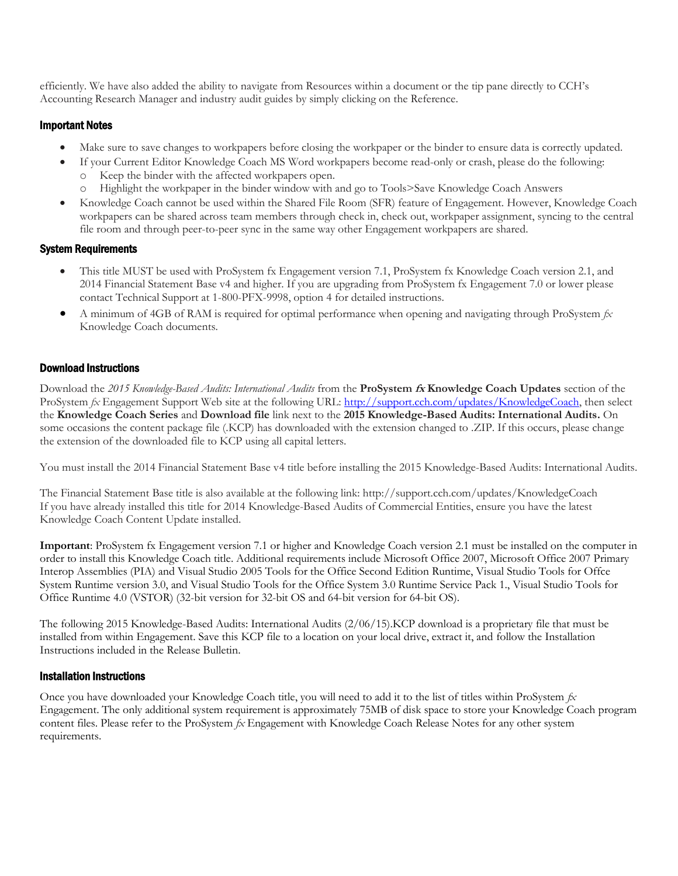efficiently. We have also added the ability to navigate from Resources within a document or the tip pane directly to CCH's Accounting Research Manager and industry audit guides by simply clicking on the Reference.

## Important Notes

- Make sure to save changes to workpapers before closing the workpaper or the binder to ensure data is correctly updated.
- If your Current Editor Knowledge Coach MS Word workpapers become read-only or crash, please do the following: o Keep the binder with the affected workpapers open.
	- o Highlight the workpaper in the binder window with and go to Tools>Save Knowledge Coach Answers
- Knowledge Coach cannot be used within the Shared File Room (SFR) feature of Engagement. However, Knowledge Coach workpapers can be shared across team members through check in, check out, workpaper assignment, syncing to the central file room and through peer-to-peer sync in the same way other Engagement workpapers are shared.

#### System Requirements

- This title MUST be used with ProSystem fx Engagement version 7.1, ProSystem fx Knowledge Coach version 2.1, and 2014 Financial Statement Base v4 and higher. If you are upgrading from ProSystem fx Engagement 7.0 or lower please contact Technical Support at 1-800-PFX-9998, option 4 for detailed instructions.
- A minimum of 4GB of RAM is required for optimal performance when opening and navigating through ProSystem *fx*  Knowledge Coach documents.

## Download Instructions

Download the *2015 Knowledge-Based Audits: International Audits* from the **ProSystem fx Knowledge Coach Updates** section of the ProSystem *fx* Engagement Support Web site at the following URL: [http://support.cch.com/updates/KnowledgeCoach,](http://support.cch.com/updates/KnowledgeCoach) then select the **Knowledge Coach Series** and **Download file** link next to the **2015 Knowledge-Based Audits: International Audits.** On some occasions the content package file (.KCP) has downloaded with the extension changed to .ZIP. If this occurs, please change the extension of the downloaded file to KCP using all capital letters.

You must install the 2014 Financial Statement Base v4 title before installing the 2015 Knowledge-Based Audits: International Audits.

The Financial Statement Base title is also available at the following link: http://support.cch.com/updates/KnowledgeCoach If you have already installed this title for 2014 Knowledge-Based Audits of Commercial Entities, ensure you have the latest Knowledge Coach Content Update installed.

**Important**: ProSystem fx Engagement version 7.1 or higher and Knowledge Coach version 2.1 must be installed on the computer in order to install this Knowledge Coach title. Additional requirements include Microsoft Office 2007, Microsoft Office 2007 Primary Interop Assemblies (PIA) and Visual Studio 2005 Tools for the Office Second Edition Runtime, Visual Studio Tools for Offce System Runtime version 3.0, and Visual Studio Tools for the Office System 3.0 Runtime Service Pack 1., Visual Studio Tools for Office Runtime 4.0 (VSTOR) (32-bit version for 32-bit OS and 64-bit version for 64-bit OS).

The following 2015 Knowledge-Based Audits: International Audits (2/06/15).KCP download is a proprietary file that must be installed from within Engagement. Save this KCP file to a location on your local drive, extract it, and follow the Installation Instructions included in the Release Bulletin.

## Installation Instructions

Once you have downloaded your Knowledge Coach title, you will need to add it to the list of titles within ProSystem *fx*  Engagement. The only additional system requirement is approximately 75MB of disk space to store your Knowledge Coach program content files. Please refer to the ProSystem *fx* Engagement with Knowledge Coach Release Notes for any other system requirements.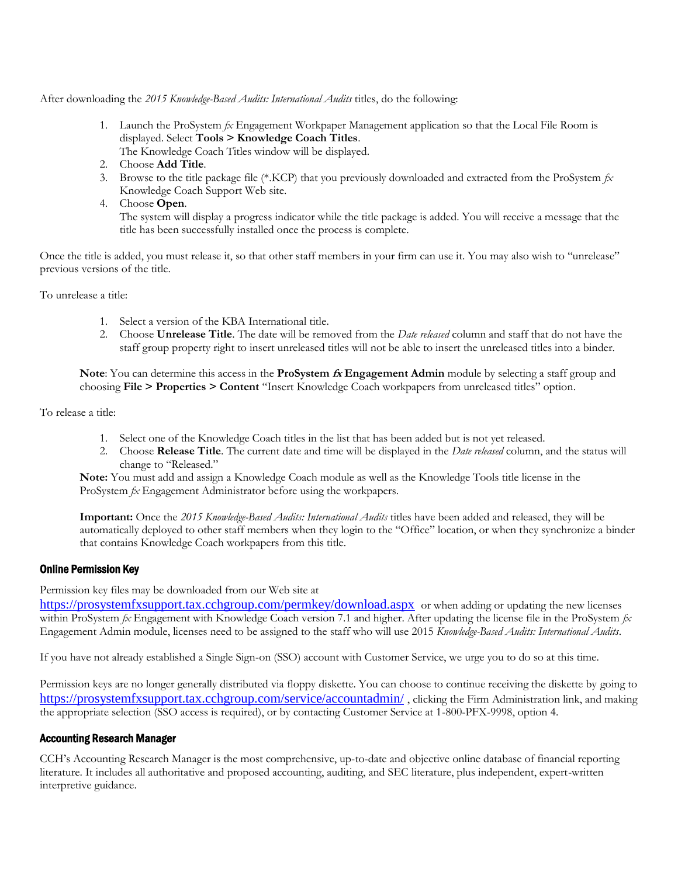After downloading the *2015 Knowledge-Based Audits: International Audits* titles, do the following:

- 1. Launch the ProSystem *fx* Engagement Workpaper Management application so that the Local File Room is displayed. Select **Tools > Knowledge Coach Titles**. The Knowledge Coach Titles window will be displayed.
- 2. Choose **Add Title**.
- 3. Browse to the title package file (\*.KCP) that you previously downloaded and extracted from the ProSystem *fx*  Knowledge Coach Support Web site.
- 4. Choose **Open**.

The system will display a progress indicator while the title package is added. You will receive a message that the title has been successfully installed once the process is complete.

Once the title is added, you must release it, so that other staff members in your firm can use it. You may also wish to "unrelease" previous versions of the title.

To unrelease a title:

- 1. Select a version of the KBA International title.
- 2. Choose **Unrelease Title**. The date will be removed from the *Date released* column and staff that do not have the staff group property right to insert unreleased titles will not be able to insert the unreleased titles into a binder.

**Note**: You can determine this access in the **ProSystem fx Engagement Admin** module by selecting a staff group and choosing **File > Properties > Content** "Insert Knowledge Coach workpapers from unreleased titles" option.

To release a title:

- 1. Select one of the Knowledge Coach titles in the list that has been added but is not yet released.
- 2. Choose **Release Title**. The current date and time will be displayed in the *Date released* column, and the status will change to "Released."

**Note:** You must add and assign a Knowledge Coach module as well as the Knowledge Tools title license in the ProSystem *fx* Engagement Administrator before using the workpapers.

**Important:** Once the *2015 Knowledge-Based Audits: International Audits* titles have been added and released, they will be automatically deployed to other staff members when they login to the "Office" location, or when they synchronize a binder that contains Knowledge Coach workpapers from this title.

#### Online Permission Key

Permission key files may be downloaded from our Web site at

<https://prosystemfxsupport.tax.cchgroup.com/permkey/download.aspx> or when adding or updating the new licenses within ProSystem *fx* Engagement with Knowledge Coach version 7.1 and higher. After updating the license file in the ProSystem *fx*  Engagement Admin module, licenses need to be assigned to the staff who will use 2015 *Knowledge-Based Audits: International Audits*.

If you have not already established a Single Sign-on (SSO) account with Customer Service, we urge you to do so at this time.

Permission keys are no longer generally distributed via floppy diskette. You can choose to continue receiving the diskette by going to <https://prosystemfxsupport.tax.cchgroup.com/service/accountadmin/> , clicking the Firm Administration link, and making the appropriate selection (SSO access is required), or by contacting Customer Service at 1-800-PFX-9998, option 4.

#### Accounting Research Manager

CCH's Accounting Research Manager is the most comprehensive, up-to-date and objective online database of financial reporting literature. It includes all authoritative and proposed accounting, auditing, and SEC literature, plus independent, expert-written interpretive guidance.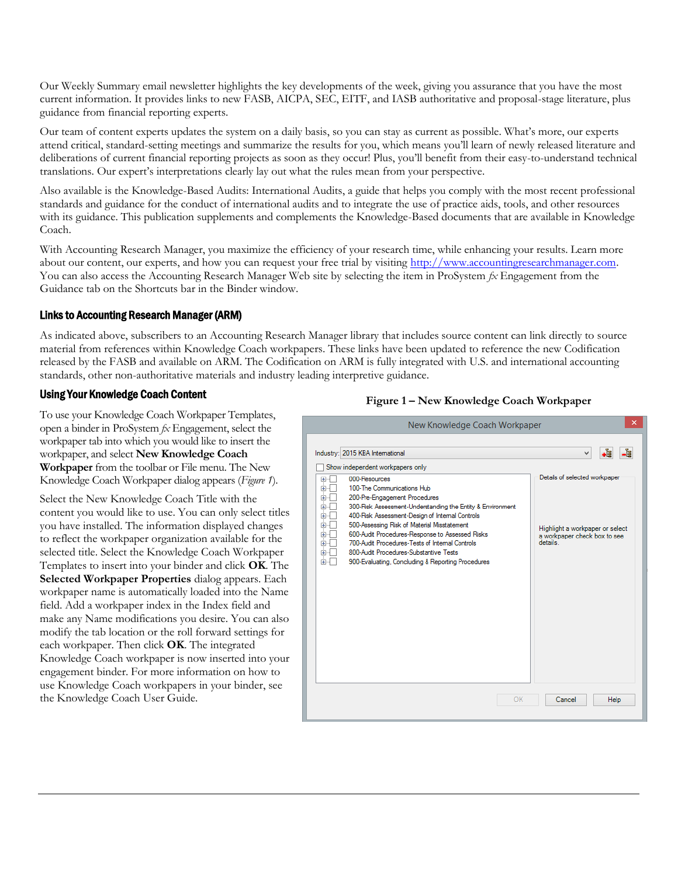Our Weekly Summary email newsletter highlights the key developments of the week, giving you assurance that you have the most current information. It provides links to new FASB, AICPA, SEC, EITF, and IASB authoritative and proposal-stage literature, plus guidance from financial reporting experts.

Our team of content experts updates the system on a daily basis, so you can stay as current as possible. What's more, our experts attend critical, standard-setting meetings and summarize the results for you, which means you'll learn of newly released literature and deliberations of current financial reporting projects as soon as they occur! Plus, you'll benefit from their easy-to-understand technical translations. Our expert's interpretations clearly lay out what the rules mean from your perspective.

Also available is the Knowledge-Based Audits: International Audits, a guide that helps you comply with the most recent professional standards and guidance for the conduct of international audits and to integrate the use of practice aids, tools, and other resources with its guidance. This publication supplements and complements the Knowledge-Based documents that are available in Knowledge Coach.

With Accounting Research Manager, you maximize the efficiency of your research time, while enhancing your results. Learn more about our content, our experts, and how you can request your free trial by visiting [http://www.accountingresearchmanager.com.](http://www.accountingresearchmanager.com/)  You can also access the Accounting Research Manager Web site by selecting the item in ProSystem *fx* Engagement from the Guidance tab on the Shortcuts bar in the Binder window.

## Links to Accounting Research Manager (ARM)

As indicated above, subscribers to an Accounting Research Manager library that includes source content can link directly to source material from references within Knowledge Coach workpapers. These links have been updated to reference the new Codification released by the FASB and available on ARM. The Codification on ARM is fully integrated with U.S. and international accounting standards, other non-authoritative materials and industry leading interpretive guidance.

## Using Your Knowledge Coach Content

To use your Knowledge Coach Workpaper Templates, open a binder in ProSystem *fx* Engagement, select the workpaper tab into which you would like to insert the workpaper, and select **New Knowledge Coach Workpaper** from the toolbar or File menu. The New Knowledge Coach Workpaper dialog appears (*Figure 1*).

Select the New Knowledge Coach Title with the content you would like to use. You can only select titles you have installed. The information displayed changes to reflect the workpaper organization available for the selected title. Select the Knowledge Coach Workpaper Templates to insert into your binder and click **OK**. The **Selected Workpaper Properties** dialog appears. Each workpaper name is automatically loaded into the Name field. Add a workpaper index in the Index field and make any Name modifications you desire. You can also modify the tab location or the roll forward settings for each workpaper. Then click **OK**. The integrated Knowledge Coach workpaper is now inserted into your engagement binder. For more information on how to use Knowledge Coach workpapers in your binder, see the Knowledge Coach User Guide.

#### **Figure 1 – New Knowledge Coach Workpaper**